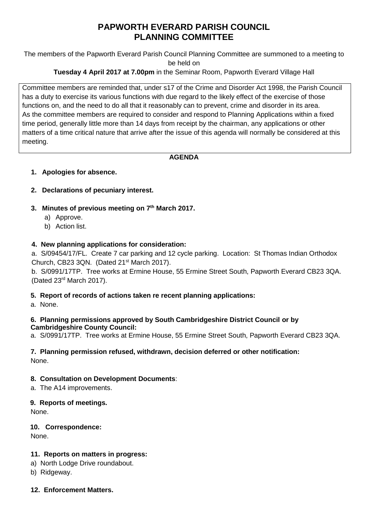# **PAPWORTH EVERARD PARISH COUNCIL PLANNING COMMITTEE**

The members of the Papworth Everard Parish Council Planning Committee are summoned to a meeting to be held on

## **Tuesday 4 April 2017 at 7.00pm** in the Seminar Room, Papworth Everard Village Hall

Committee members are reminded that, under s17 of the Crime and Disorder Act 1998, the Parish Council has a duty to exercise its various functions with due regard to the likely effect of the exercise of those functions on, and the need to do all that it reasonably can to prevent, crime and disorder in its area. As the committee members are required to consider and respond to Planning Applications within a fixed time period, generally little more than 14 days from receipt by the chairman, any applications or other matters of a time critical nature that arrive after the issue of this agenda will normally be considered at this meeting.

## **AGENDA**

## **1. Apologies for absence.**

## **2. Declarations of pecuniary interest.**

## **3. Minutes of previous meeting on 7 th March 2017.**

- a) Approve.
- b) Action list.

## **4. New planning applications for consideration:**

a. S/09454/17/FL. Create 7 car parking and 12 cycle parking. Location: St Thomas Indian Orthodox Church, CB23 3QN. (Dated 21<sup>st</sup> March 2017).

b. S/0991/17TP. Tree works at Ermine House, 55 Ermine Street South, Papworth Everard CB23 3QA. (Dated 23rd March 2017).

## **5. Report of records of actions taken re recent planning applications:**

a. None.

#### **6. Planning permissions approved by South Cambridgeshire District Council or by Cambridgeshire County Council:**

a. S/0991/17TP. Tree works at Ermine House, 55 Ermine Street South, Papworth Everard CB23 3QA.

#### **7. Planning permission refused, withdrawn, decision deferred or other notification:** None.

## **8. Consultation on Development Documents**:

a. The A14 improvements.

## **9. Reports of meetings.**

None.

## **10. Correspondence:**

None.

## **11. Reports on matters in progress:**

- a) North Lodge Drive roundabout.
- b) Ridgeway.

## **12. Enforcement Matters.**